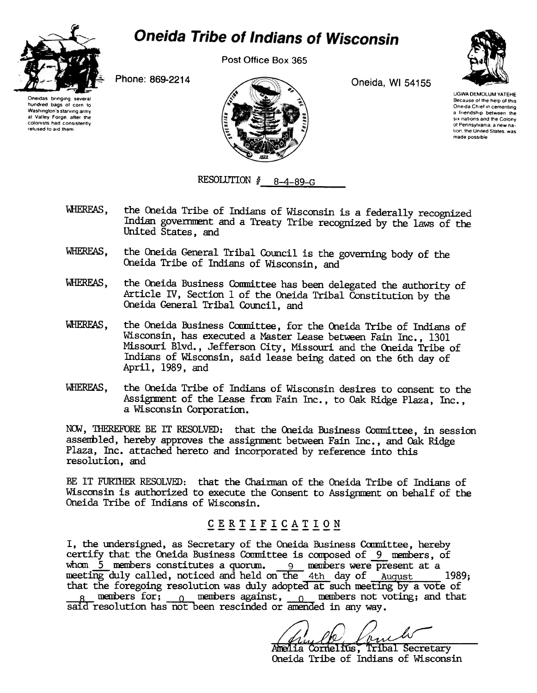

Washington's starving army at Valley Forge, after the colonists had consistently refused to aid them

## **Oneida Tribe of Indians of Wisconsin**

Post Office Box 365



UGWA DEMOLUM YATEHE Because of the help of this Oneida Chief in cementing a friendship between the SIX nations and the Colony of Pennsylvania, a new nation, the United States, was made possible

Oneidas bringing several hundred bags of corn to



RESOLUTION  $#$  8-4-89-G

- WHEREAS, the Oneida Tribe of Indians of Wisconsin is a federally recognized Indian goverrment and a Treaty Tribe recognized by the laws of the United States, and
- WHEREAS, the Oneida General Tribal Council is the governing body of the Oneida Tribe of Indians of Wisconsin, and
- WHEREAS, the Oneida Business Conmittee has been delegated the authority of Article IV, Section 1 of the Oneida Tribal Constitution by the Oneida General Tribal Council, and
- WHEREAS, the Oneida Business Committee, for the Oneida Tribe of Indians of Wisconsin, has executed a Master Lease between Fain Inc., 1301 Missouri Blvd., Jefferson City, Missouri and the Oneida Tribe of Indians of Wisconsin, said lease being dated on the 6th day of April, 1989, and
- WHEREAS, the Oneida Tribe of Indians of Wisconsin desires to consent to the Assignment of the Lease from Fain Inc., to Oak Ridge Plaza, Inc., a Wisconsin Corporation.

NOW, THEREFORE BE IT RESOLVED: that the Oneida Business Committee, in session assenbled, hereby approves the assigrment between Fain Inc., and Oak Ridge Plaza, Inc. attached hereto and incorporated by reference into this resolution, and

BE IT FUR1HER RESOLVED: that the Chainnan of the Oneida Tribe of Indians of Wisconsin is authorized to execute the Consent to Assignment on behalf of the Oneida Tribe of Indians of Wisconsin.

## CERTIFICATION

I, the undersigned, as Secretary of the Oneida Business Committee, hereby certify that the Oneida Business Committee is composed of 9 members, of whom  $5$  members constitutes a quorum. 9 members were present at a meeting duly called, noticed and held on the 4th day of August 1989; that the foregoing resolution was duly adopted at such meeting by a vote of  $R_B$ -- members for;  $\epsilon_0$ -- members against,  $\epsilon_0$ -- members not voting; and that said resolution has not been rescinded or amended in any way.

Amelia Cornelius, Tribal Secretary<br>Oneida Tribe of Indians of Wisconsin